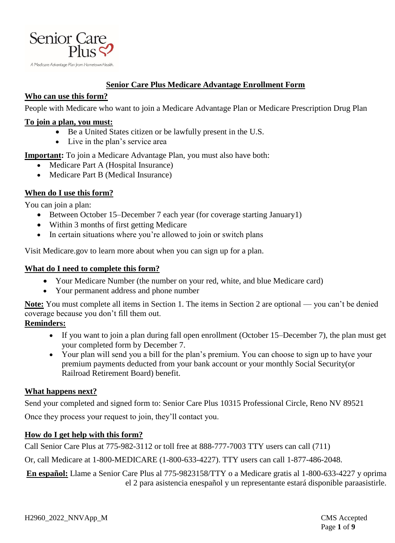

# **Senior Care Plus Medicare Advantage Enrollment Form**

# **Who can use this form?**

People with Medicare who want to join a Medicare Advantage Plan or Medicare Prescription Drug Plan

## **To join a plan, you must:**

- Be a United States citizen or be lawfully present in the U.S.
- Live in the plan's service area

**Important:** To join a Medicare Advantage Plan, you must also have both:

- Medicare Part A (Hospital Insurance)
- Medicare Part B (Medical Insurance)

# **When do I use this form?**

You can join a plan:

- Between October 15–December 7 each year (for coverage starting January1)
- Within 3 months of first getting Medicare
- In certain situations where you're allowed to join or switch plans

Visit Medicare.gov to learn more about when you can sign up for a plan.

# **What do I need to complete this form?**

- Your Medicare Number (the number on your red, white, and blue Medicare card)
- Your permanent address and phone number

**Note:** You must complete all items in Section 1. The items in Section 2 are optional — you can't be denied coverage because you don't fill them out.

# **Reminders:**

- If you want to join a plan during fall open enrollment (October 15–December 7), the plan must get your completed form by December 7.
- Your plan will send you a bill for the plan's premium. You can choose to sign up to have your premium payments deducted from your bank account or your monthly Social Security(or Railroad Retirement Board) benefit.

#### **What happens next?**

Send your completed and signed form to: Senior Care Plus 10315 Professional Circle, Reno NV 89521

Once they process your request to join, they'll contact you.

# **How do I get help with this form?**

Call Senior Care Plus at 775-982-3112 or toll free at 888-777-7003 TTY users can call (711)

Or, call Medicare at 1-800-MEDICARE (1-800-633-4227). TTY users can call 1-877-486-2048.

**En español:** Llame a Senior Care Plus al 775-9823158/TTY o a Medicare gratis al 1-800-633-4227 y oprima el 2 para asistencia enespañol y un representante estará disponible paraasistirle.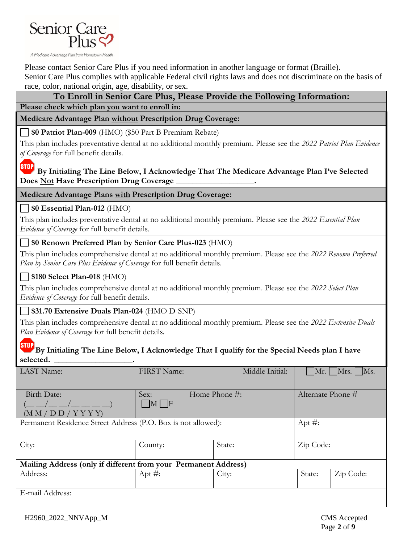

Please contact Senior Care Plus if you need information in another language or format (Braille).

Senior Care Plus complies with applicable Federal civil rights laws and does not discriminate on the basis of race, color, national origin, age, disability, or sex.

# **To Enroll in Senior Care Plus, Please Provide the Following Information: Please check which plan you want to enroll in:**

**Medicare Advantage Plan without Prescription Drug Coverage:**

**\$0 Patriot Plan-009** (HMO) (\$50 Part B Premium Rebate)

This plan includes preventative dental at no additional monthly premium. Please see the *2022 Patriot Plan Evidence of Coverage* for full benefit details.

#### **STOP By Initialing The Line Below, I Acknowledge That The Medicare Advantage Plan I've Selected Does Not Have Prescription Drug Coverage \_\_\_\_\_\_\_\_\_\_\_\_\_\_\_\_\_\_\_.**

## **Medicare Advantage Plans with Prescription Drug Coverage:**

#### **\$0 Essential Plan-012** (HMO)

This plan includes preventative dental at no additional monthly premium. Please see the *2022 Essential Plan Evidence of Coverage* for full benefit details.

## **\$0 Renown Preferred Plan by Senior Care Plus-023** (HMO)

This plan includes comprehensive dental at no additional monthly premium. Please see the *2022 Renown Preferred Plan by Senior Care Plus Evidence of Coverage* for full benefit details.

#### **\$180 Select Plan-018** (HMO)

This plan includes comprehensive dental at no additional monthly premium. Please see the *2022 Select Plan Evidence of Coverage* for full benefit details.

# **\$31.70 Extensive Duals Plan-024** (HMO D-SNP)

This plan includes comprehensive dental at no additional monthly premium. Please see the *2022 Extensive Duals Plan Evidence of Coverage* for full benefit details.

#### STOP **By Initialing The Line Below, I Acknowledge That I qualify for the Special Needs plan I have selected. \_\_\_\_\_\_\_\_\_\_\_\_\_\_\_\_\_\_\_.**

| LAST Name:                                                      | FIRST Name:     |                   | Middle Initial: | $Mr.$ Mrs. Ms. |                   |  |
|-----------------------------------------------------------------|-----------------|-------------------|-----------------|----------------|-------------------|--|
|                                                                 |                 |                   |                 |                |                   |  |
|                                                                 |                 |                   |                 |                |                   |  |
| Birth Date:                                                     | Sex:            | Home Phone $\#$ : |                 |                | Alternate Phone # |  |
|                                                                 | $\Box M \Box F$ |                   |                 |                |                   |  |
| (M M / D D / Y Y Y)                                             |                 |                   |                 |                |                   |  |
| Permanent Residence Street Address (P.O. Box is not allowed):   |                 |                   | Apt #:          |                |                   |  |
|                                                                 |                 |                   |                 |                |                   |  |
|                                                                 |                 |                   |                 |                |                   |  |
| City:                                                           | County:         |                   | State:          | Zip Code:      |                   |  |
|                                                                 |                 |                   |                 |                |                   |  |
| Mailing Address (only if different from your Permanent Address) |                 |                   |                 |                |                   |  |
| Address:                                                        | Apt #:          | City:             |                 | State:         | Zip Code:         |  |
|                                                                 |                 |                   |                 |                |                   |  |
| E-mail Address:                                                 |                 |                   |                 |                |                   |  |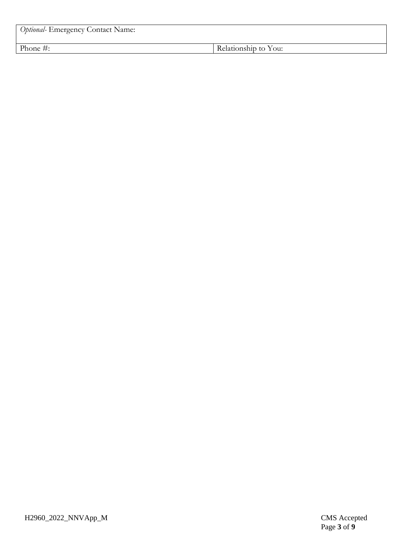| Optional-Emergency Contact Name: |                      |
|----------------------------------|----------------------|
| Phone $\#$ :                     | Relationship to You: |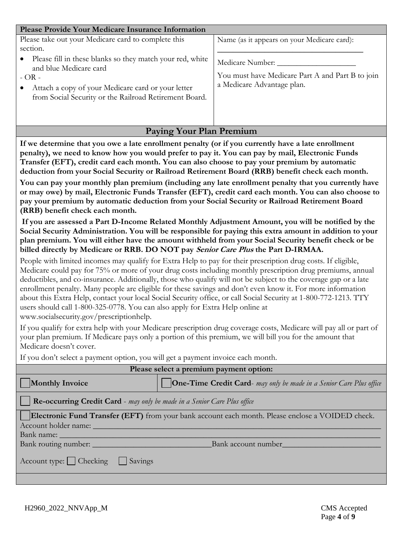| Please Provide Your Medicare Insurance Information                                                                                                                                                                          |                                                                                                    |  |  |  |
|-----------------------------------------------------------------------------------------------------------------------------------------------------------------------------------------------------------------------------|----------------------------------------------------------------------------------------------------|--|--|--|
| Please take out your Medicare card to complete this<br>section.                                                                                                                                                             | Name (as it appears on your Medicare card):                                                        |  |  |  |
| Please fill in these blanks so they match your red, white<br>$\bullet$<br>and blue Medicare card<br>$-OR -$<br>Attach a copy of your Medicare card or your letter<br>from Social Security or the Railroad Retirement Board. | Medicare Number:<br>You must have Medicare Part A and Part B to join<br>a Medicare Advantage plan. |  |  |  |

# **Paying Your Plan Premium**

**If we determine that you owe a late enrollment penalty (or if you currently have a late enrollment penalty), we need to know how you would prefer to pay it. You can pay by mail, Electronic Funds Transfer (EFT), credit card each month. You can also choose to pay your premium by automatic deduction from your Social Security or Railroad Retirement Board (RRB) benefit check each month.** 

**You can pay your monthly plan premium (including any late enrollment penalty that you currently have or may owe) by mail, Electronic Funds Transfer (EFT), credit card each month. You can also choose to pay your premium by automatic deduction from your Social Security or Railroad Retirement Board (RRB) benefit check each month.**

**If you are assessed a Part D-Income Related Monthly Adjustment Amount, you will be notified by the Social Security Administration. You will be responsible for paying this extra amount in addition to your plan premium. You will either have the amount withheld from your Social Security benefit check or be billed directly by Medicare or RRB. DO NOT pay Senior Care Plus the Part D-IRMAA.**

People with limited incomes may qualify for Extra Help to pay for their prescription drug costs. If eligible, Medicare could pay for 75% or more of your drug costs including monthly prescription drug premiums, annual deductibles, and co-insurance. Additionally, those who qualify will not be subject to the coverage gap or a late enrollment penalty. Many people are eligible for these savings and don't even know it. For more information about this Extra Help, contact your local Social Security office, or call Social Security at 1-800-772-1213. TTY users should call 1-800-325-0778. You can also apply for Extra Help online at www.socialsecurity.gov/prescriptionhelp.

If you qualify for extra help with your Medicare prescription drug coverage costs, Medicare will pay all or part of your plan premium. If Medicare pays only a portion of this premium, we will bill you for the amount that Medicare doesn't cover.

If you don't select a payment option, you will get a payment invoice each month.

| Please select a premium payment option:                                  |                                                                                                         |  |  |
|--------------------------------------------------------------------------|---------------------------------------------------------------------------------------------------------|--|--|
| Monthly Invoice                                                          | <b>One-Time Credit Card-</b> may only be made in a Senior Care Plus office                              |  |  |
| Re-occurring Credit Card - may only be made in a Senior Care Plus office |                                                                                                         |  |  |
|                                                                          | <b>Electronic Fund Transfer (EFT)</b> from your bank account each month. Please enclose a VOIDED check. |  |  |
| Account holder name:                                                     |                                                                                                         |  |  |
|                                                                          |                                                                                                         |  |  |
| Bank routing number:                                                     | Bank account number                                                                                     |  |  |
| Account type: Checking Savings                                           |                                                                                                         |  |  |
|                                                                          |                                                                                                         |  |  |
|                                                                          |                                                                                                         |  |  |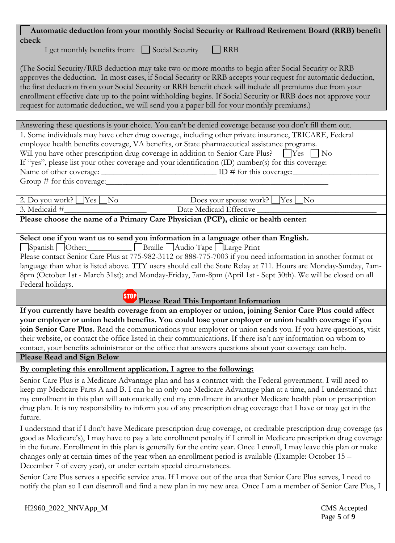| Automatic deduction from your monthly Social Security or Railroad Retirement Board (RRB) benefit |  |  |  |  |
|--------------------------------------------------------------------------------------------------|--|--|--|--|
| check                                                                                            |  |  |  |  |

I get monthly benefits from:  $\Box$  Social Security  $\Box$  RRB

(The Social Security/RRB deduction may take two or more months to begin after Social Security or RRB approves the deduction. In most cases, if Social Security or RRB accepts your request for automatic deduction, the first deduction from your Social Security or RRB benefit check will include all premiums due from your enrollment effective date up to the point withholding begins. If Social Security or RRB does not approve your request for automatic deduction, we will send you a paper bill for your monthly premiums.)

Answering these questions is your choice. You can't be denied coverage because you don't fill them out.

1. Some individuals may have other drug coverage, including other private insurance, TRICARE, Federal employee health benefits coverage, VA benefits, or State pharmaceutical assistance programs. Will you have other prescription drug coverage in addition to Senior Care Plus?  $\Box$  Yes  $\Box$  No If "yes", please list your other coverage and your identification (ID) number(s) for this coverage: Name of other coverage: \_\_\_\_\_\_\_\_\_\_\_\_\_\_\_\_\_\_\_\_\_\_\_\_\_\_\_\_\_\_\_\_\_\_\_ ID # for this coverage: Group  $#$  for this coverage:

| $Y_{\text{CS}}$<br>vou<br>work:<br>ഥ<br>$\sim$ $\sim$ | $V_{\text{eq}}$<br>'No<br>: work?<br>Does<br>vour<br>spouse |
|-------------------------------------------------------|-------------------------------------------------------------|
| $\sim$<br>3. Medicaid                                 | $\Delta$ dte "<br>Medicaid<br>. Effective                   |

**Please choose the name of a Primary Care Physician (PCP), clinic or health center:**

#### **Select one if you want us to send you information in a language other than English.**

Spanish Other:\_\_\_\_\_\_\_\_\_\_\_ Braille Audio Tape Large Print

Please contact Senior Care Plus at 775-982-3112 or 888-775-7003 if you need information in another format or language than what is listed above. TTY users should call the State Relay at 711. Hours are Monday-Sunday, 7am-8pm (October 1st - March 31st); and Monday-Friday, 7am-8pm (April 1st - Sept 30th). We will be closed on all Federal holidays.

# **Please Read This Important Information**

**If you currently have health coverage from an employer or union, joining Senior Care Plus could affect your employer or union health benefits. You could lose your employer or union health coverage if you join Senior Care Plus.** Read the communications your employer or union sends you. If you have questions, visit their website, or contact the office listed in their communications. If there isn't any information on whom to contact, your benefits administrator or the office that answers questions about your coverage can help.

#### **Please Read and Sign Below**

**By completing this enrollment application, I agree to the following:**

Senior Care Plus is a Medicare Advantage plan and has a contract with the Federal government. I will need to keep my Medicare Parts A and B. I can be in only one Medicare Advantage plan at a time, and I understand that my enrollment in this plan will automatically end my enrollment in another Medicare health plan or prescription drug plan. It is my responsibility to inform you of any prescription drug coverage that I have or may get in the future.

I understand that if I don't have Medicare prescription drug coverage, or creditable prescription drug coverage (as good as Medicare's), I may have to pay a late enrollment penalty if I enroll in Medicare prescription drug coverage in the future. Enrollment in this plan is generally for the entire year. Once I enroll, I may leave this plan or make changes only at certain times of the year when an enrollment period is available (Example: October 15 – December 7 of every year), or under certain special circumstances.

Senior Care Plus serves a specific service area. If I move out of the area that Senior Care Plus serves, I need to notify the plan so I can disenroll and find a new plan in my new area. Once I am a member of Senior Care Plus, I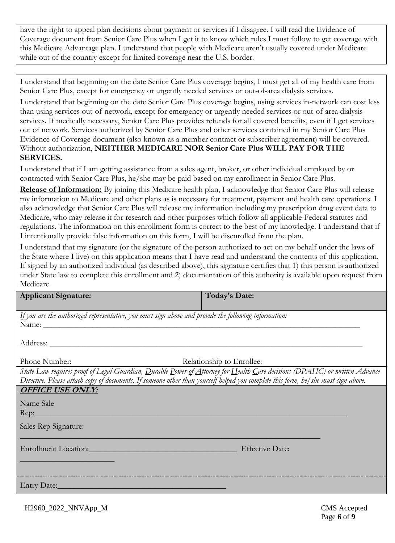have the right to appeal plan decisions about payment or services if I disagree. I will read the Evidence of Coverage document from Senior Care Plus when I get it to know which rules I must follow to get coverage with this Medicare Advantage plan. I understand that people with Medicare aren't usually covered under Medicare while out of the country except for limited coverage near the U.S. border.

I understand that beginning on the date Senior Care Plus coverage begins, I must get all of my health care from Senior Care Plus, except for emergency or urgently needed services or out-of-area dialysis services.

I understand that beginning on the date Senior Care Plus coverage begins, using services in-network can cost less than using services out-of-network, except for emergency or urgently needed services or out-of-area dialysis services. If medically necessary, Senior Care Plus provides refunds for all covered benefits, even if I get services out of network. Services authorized by Senior Care Plus and other services contained in my Senior Care Plus Evidence of Coverage document (also known as a member contract or subscriber agreement) will be covered. Without authorization, **NEITHER MEDICARE NOR Senior Care Plus WILL PAY FOR THE SERVICES.** 

# I understand that if I am getting assistance from a sales agent, broker, or other individual employed by or contracted with Senior Care Plus, he/she may be paid based on my enrollment in Senior Care Plus.

**Release of Information:** By joining this Medicare health plan, I acknowledge that Senior Care Plus will release my information to Medicare and other plans as is necessary for treatment, payment and health care operations. I also acknowledge that Senior Care Plus will release my information including my prescription drug event data to Medicare, who may release it for research and other purposes which follow all applicable Federal statutes and regulations. The information on this enrollment form is correct to the best of my knowledge. I understand that if I intentionally provide false information on this form, I will be disenrolled from the plan.

I understand that my signature (or the signature of the person authorized to act on my behalf under the laws of the State where I live) on this application means that I have read and understand the contents of this application. If signed by an authorized individual (as described above), this signature certifies that 1) this person is authorized under State law to complete this enrollment and 2) documentation of this authority is available upon request from Medicare.

| <b>Applicant Signature:</b>                                                                                                                                                                                                                                     | Today's Date:             |
|-----------------------------------------------------------------------------------------------------------------------------------------------------------------------------------------------------------------------------------------------------------------|---------------------------|
| If you are the authorized representative, you must sign above and provide the following information:                                                                                                                                                            |                           |
| Phone Number:                                                                                                                                                                                                                                                   | Relationship to Enrollee: |
| State Law requires proof of Legal Guardian, Durable Power of Attorney for Health Care decisions (DPAHC) or written Advance<br>Directive. Please attach copy of documents. If someone other than yourself helped you complete this form, he/she must sign above. |                           |
| <b>OFFICE USE ONLY:</b><br>Name Sale<br>$\text{Rep:}\_$                                                                                                                                                                                                         |                           |
| Sales Rep Signature:                                                                                                                                                                                                                                            |                           |
| Enrollment Location: The Contract of the Contract of the Contract of the Contract of the Contract of the Contract of the Contract of the Contract of the Contract of the Contract of the Contract of the Contract of the Contr                                  | <b>Effective Date:</b>    |
|                                                                                                                                                                                                                                                                 |                           |

H2960\_2022\_NNVApp\_M CMS Accepted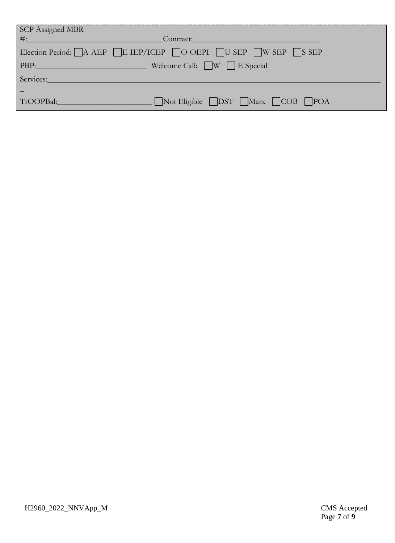| <b>SCP</b> Assigned MBR                                                                                                                                                                                                        | $\#$ : $\qquad \qquad$ $\qquad \qquad$ $\qquad \qquad$ $\qquad$ $\qquad \qquad$ $\qquad \qquad$ $\qquad \qquad$ $\qquad \qquad$ $\qquad \qquad$ $\qquad \qquad$ $\qquad \qquad$ $\qquad \qquad$ $\qquad \qquad$ $\qquad \qquad$ $\qquad \qquad$ $\qquad \qquad$ $\qquad \qquad$ $\qquad$ $\qquad \qquad$ $\qquad$ $\qquad$ $\qquad$ $\qquad$ $\qquad$ $\qquad$ $\qquad$ $\qquad$ $\$ |
|--------------------------------------------------------------------------------------------------------------------------------------------------------------------------------------------------------------------------------|--------------------------------------------------------------------------------------------------------------------------------------------------------------------------------------------------------------------------------------------------------------------------------------------------------------------------------------------------------------------------------------|
|                                                                                                                                                                                                                                | Election Period: $\Box$ A-AEP $\Box$ E-IEP/ICEP $\Box$ O-OEPI $\Box$ U-SEP $\Box$ W-SEP $\Box$ S-SEP                                                                                                                                                                                                                                                                                 |
| PBP: Welcome Call: W E Special                                                                                                                                                                                                 |                                                                                                                                                                                                                                                                                                                                                                                      |
| Services: Services: Services: Services: Services: Services: Services: Services: Services: Services: Services: Services: Services: Services: Services: Services: Services: Services: Services: Services: Services: Services: Se |                                                                                                                                                                                                                                                                                                                                                                                      |
|                                                                                                                                                                                                                                |                                                                                                                                                                                                                                                                                                                                                                                      |
| TrOOPBal:                                                                                                                                                                                                                      | $\Box$ Not Eligible $\Box$ DST $\Box$ Marx $\Box$ COB $\Box$ POA                                                                                                                                                                                                                                                                                                                     |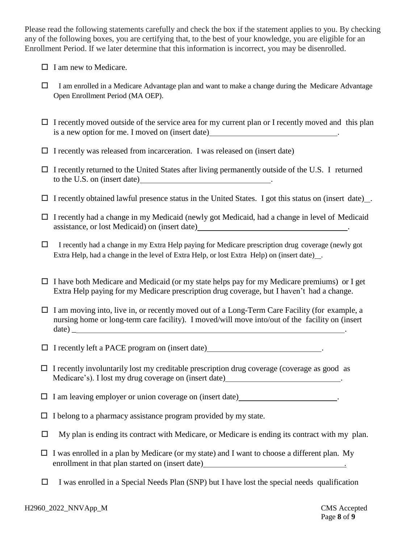Please read the following statements carefully and check the box if the statement applies to you. By checking any of the following boxes, you are certifying that, to the best of your knowledge, you are eligible for an Enrollment Period. If we later determine that this information is incorrect, you may be disenrolled.

- $\Box$  I am new to Medicare.
- $\Box$  I am enrolled in a Medicare Advantage plan and want to make a change during the Medicare Advantage Open Enrollment Period (MA OEP).
- $\Box$  I recently moved outside of the service area for my current plan or I recently moved and this plan is a new option for me. I moved on (insert date)
- $\Box$  I recently was released from incarceration. I was released on (insert date)
- $\Box$  I recently returned to the United States after living permanently outside of the U.S. I returned to the U.S. on (insert date) .
- $\Box$  I recently obtained lawful presence status in the United States. I got this status on (insert date).
- $\Box$  I recently had a change in my Medicaid (newly got Medicaid, had a change in level of Medicaid assistance, or lost Medicaid) on (insert date) .
- $\Box$  I recently had a change in my Extra Help paying for Medicare prescription drug coverage (newly got Extra Help, had a change in the level of Extra Help, or lost Extra Help) on (insert date) .
- $\Box$  I have both Medicare and Medicaid (or my state helps pay for my Medicare premiums) or I get Extra Help paying for my Medicare prescription drug coverage, but I haven't had a change.
- $\Box$  I am moving into, live in, or recently moved out of a Long-Term Care Facility (for example, a nursing home or long-term care facility). I moved/will move into/out of the facility on (insert  $\text{date}$ )  $\Box$

 $\Box$  I recently left a PACE program on (insert date)

- $\Box$  I recently involuntarily lost my creditable prescription drug coverage (coverage as good as Medicare's). I lost my drug coverage on (insert date)
- $\Box$  I am leaving employer or union coverage on (insert date).
- $\Box$  I belong to a pharmacy assistance program provided by my state.
- $\Box$  My plan is ending its contract with Medicare, or Medicare is ending its contract with my plan.
- $\Box$  I was enrolled in a plan by Medicare (or my state) and I want to choose a different plan. My enrollment in that plan started on (insert date)
- $\Box$  I was enrolled in a Special Needs Plan (SNP) but I have lost the special needs qualification